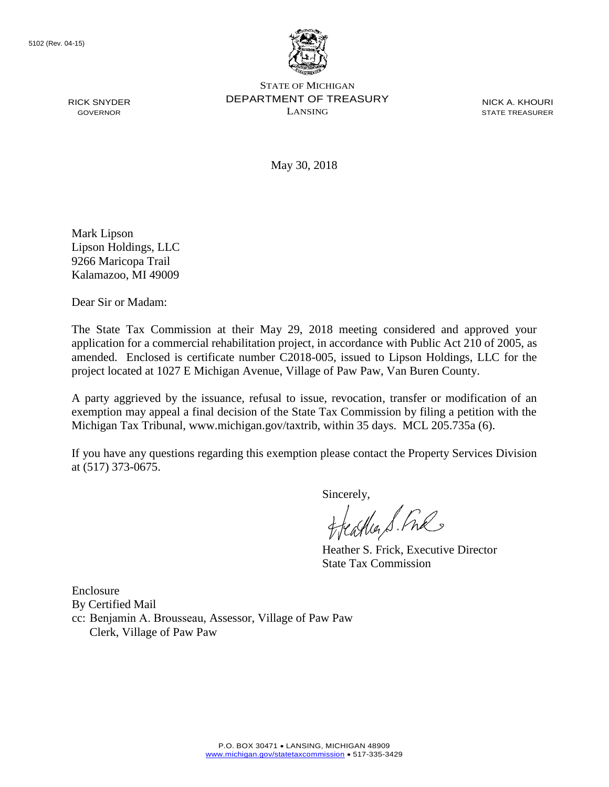RICK SNYDER GOVERNOR



STATE OF MICHIGAN DEPARTMENT OF TREASURY LANSING

NICK A. KHOURI STATE TREASURER

May 30, 2018

Mark Lipson Lipson Holdings, LLC 9266 Maricopa Trail Kalamazoo, MI 49009

Dear Sir or Madam:

The State Tax Commission at their May 29, 2018 meeting considered and approved your application for a commercial rehabilitation project, in accordance with Public Act 210 of 2005, as amended. Enclosed is certificate number C2018-005, issued to Lipson Holdings, LLC for the project located at 1027 E Michigan Avenue, Village of Paw Paw, Van Buren County.

A party aggrieved by the issuance, refusal to issue, revocation, transfer or modification of an exemption may appeal a final decision of the State Tax Commission by filing a petition with the Michigan Tax Tribunal, www.michigan.gov/taxtrib, within 35 days. MCL 205.735a (6).

If you have any questions regarding this exemption please contact the Property Services Division at (517) 373-0675.

Sincerely,

Heather S. Fre

Heather S. Frick, Executive Director State Tax Commission

Enclosure By Certified Mail

cc: Benjamin A. Brousseau, Assessor, Village of Paw Paw

Clerk, Village of Paw Paw